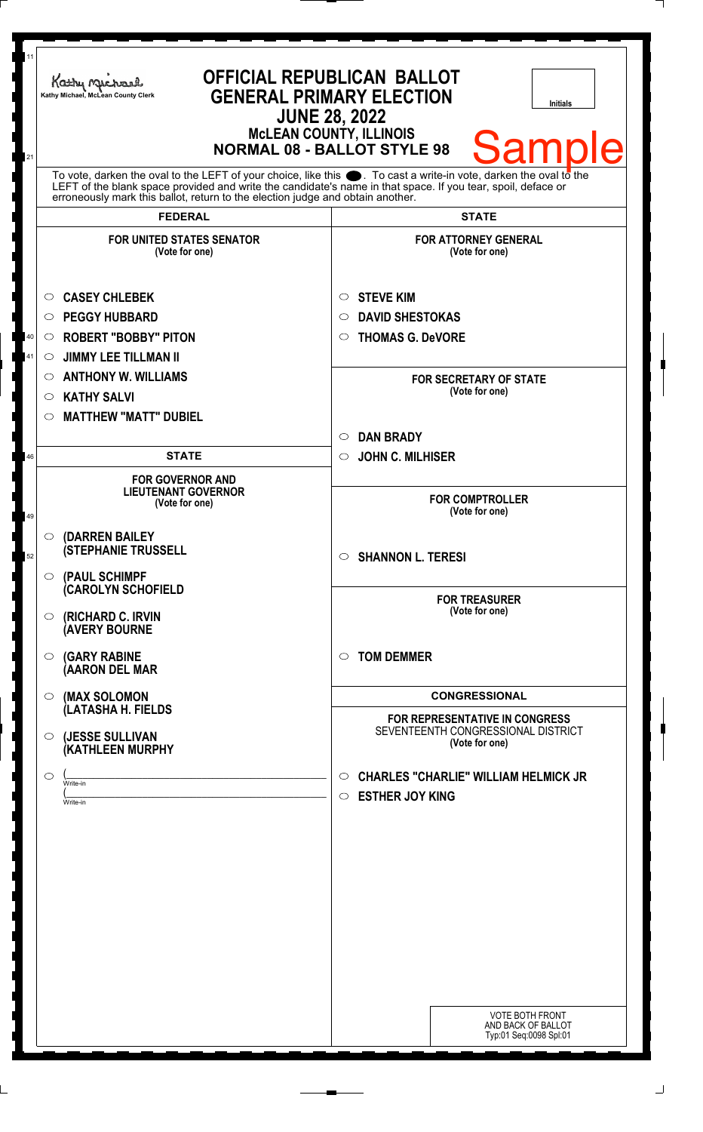| 11<br>21 | <b>OFFICIAL REPUBLICAN BALLOT</b><br>Kathy Machael<br><b>GENERAL PRIMARY ELECTION</b><br>Kathy Michael, McLean County Clerk<br><b>Initials</b><br><b>JUNE 28, 2022</b><br><b>McLEAN COUNTY, ILLINOIS</b><br><b>Sample</b><br><b>NORMAL 08 - BALLOT STYLE 98</b>                                                        |                                                                                        |
|----------|------------------------------------------------------------------------------------------------------------------------------------------------------------------------------------------------------------------------------------------------------------------------------------------------------------------------|----------------------------------------------------------------------------------------|
|          | To vote, darken the oval to the LEFT of your choice, like this $\bullet$ . To cast a write-in vote, darken the oval to the LEFT of the blank space provided and write the candidate's name in that space. If you tear, spoil, deface<br>erroneously mark this ballot, return to the election judge and obtain another. |                                                                                        |
|          | <b>FEDERAL</b>                                                                                                                                                                                                                                                                                                         | <b>STATE</b>                                                                           |
|          | <b>FOR UNITED STATES SENATOR</b><br>(Vote for one)                                                                                                                                                                                                                                                                     | <b>FOR ATTORNEY GENERAL</b><br>(Vote for one)                                          |
|          | <b>CASEY CHLEBEK</b><br>$\circ$                                                                                                                                                                                                                                                                                        | <b>STEVE KIM</b><br>$\circ$                                                            |
|          | <b>PEGGY HUBBARD</b><br>$\circ$                                                                                                                                                                                                                                                                                        | <b>DAVID SHESTOKAS</b><br>$\circ$                                                      |
| 40       | <b>ROBERT "BOBBY" PITON</b><br>$\circ$                                                                                                                                                                                                                                                                                 | <b>THOMAS G. DeVORE</b><br>$\circ$                                                     |
| 41       | <b>JIMMY LEE TILLMAN II</b><br>$\circ$                                                                                                                                                                                                                                                                                 |                                                                                        |
|          | <b>ANTHONY W. WILLIAMS</b><br>$\circ$                                                                                                                                                                                                                                                                                  | <b>FOR SECRETARY OF STATE</b>                                                          |
|          | <b>KATHY SALVI</b><br>O                                                                                                                                                                                                                                                                                                | (Vote for one)                                                                         |
|          | <b>MATTHEW "MATT" DUBIEL</b><br>◯                                                                                                                                                                                                                                                                                      |                                                                                        |
|          |                                                                                                                                                                                                                                                                                                                        | <b>DAN BRADY</b><br>$\circ$                                                            |
| 46       | <b>STATE</b>                                                                                                                                                                                                                                                                                                           | <b>JOHN C. MILHISER</b><br>$\circ$                                                     |
| 49       | <b>FOR GOVERNOR AND</b><br><b>LIEUTENANT GOVERNOR</b><br>(Vote for one)                                                                                                                                                                                                                                                | <b>FOR COMPTROLLER</b><br>(Vote for one)                                               |
| 52       | $\circ$ (DARREN BAILEY<br><b>(STEPHANIE TRUSSELL</b>                                                                                                                                                                                                                                                                   | $\circ$ SHANNON L. TERESI                                                              |
|          | $\circ$ (PAUL SCHIMPF<br><b>CAROLYN SCHOFIELD</b><br>(RICHARD C. IRVIN<br>$\circ$<br><b>(AVERY BOURNE</b>                                                                                                                                                                                                              | <b>FOR TREASURER</b><br>(Vote for one)                                                 |
|          | <b>(GARY RABINE</b><br>O<br>(AARON DEL MAR                                                                                                                                                                                                                                                                             | <b>TOM DEMMER</b><br>$\circ$                                                           |
|          | (MAX SOLOMON<br>$\circ$                                                                                                                                                                                                                                                                                                | <b>CONGRESSIONAL</b>                                                                   |
|          | (LATASHA H. FIELDS<br>(JESSE SULLIVAN<br>$\circ$<br>(KATHLEEN MURPHY                                                                                                                                                                                                                                                   | FOR REPRESENTATIVE IN CONGRESS<br>SEVENTEENTH CONGRESSIONAL DISTRICT<br>(Vote for one) |
|          | O<br>Write-in<br>Write-in                                                                                                                                                                                                                                                                                              | <b>CHARLES "CHARLIE" WILLIAM HELMICK JR</b><br>O<br><b>ESTHER JOY KING</b><br>O        |
|          |                                                                                                                                                                                                                                                                                                                        | <b>VOTE BOTH FRONT</b><br>AND BACK OF BALLOT<br>Typ:01 Seq:0098 Spl:01                 |